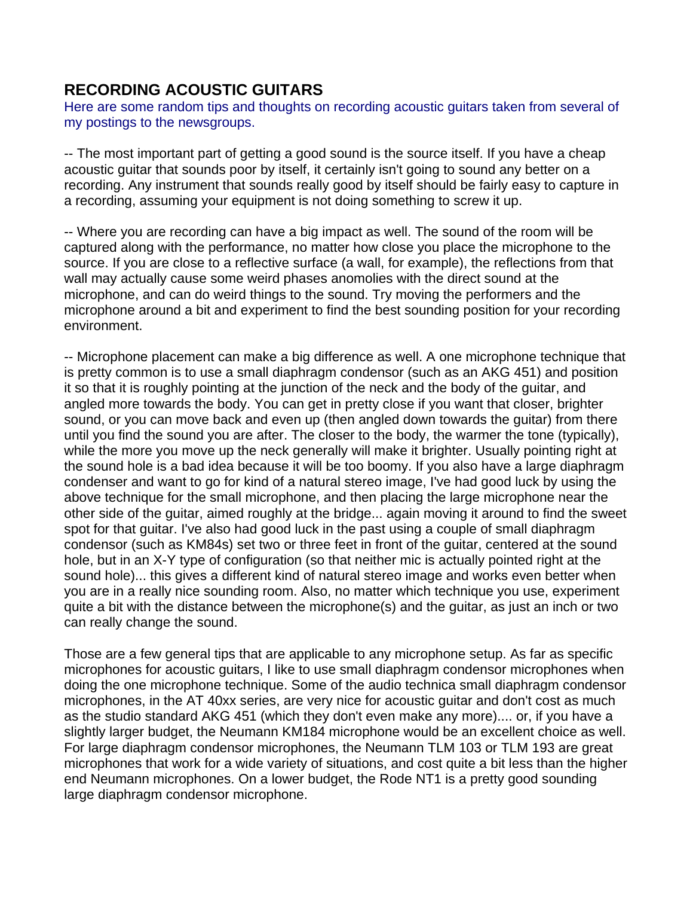# **RECORDING ACOUSTIC GUITARS**

Here are some random tips and thoughts on recording acoustic guitars taken from several of my postings to the newsgroups.

-- The most important part of getting a good sound is the source itself. If you have a cheap acoustic guitar that sounds poor by itself, it certainly isn't going to sound any better on a recording. Any instrument that sounds really good by itself should be fairly easy to capture in a recording, assuming your equipment is not doing something to screw it up.

-- Where you are recording can have a big impact as well. The sound of the room will be captured along with the performance, no matter how close you place the microphone to the source. If you are close to a reflective surface (a wall, for example), the reflections from that wall may actually cause some weird phases anomolies with the direct sound at the microphone, and can do weird things to the sound. Try moving the performers and the microphone around a bit and experiment to find the best sounding position for your recording environment.

-- Microphone placement can make a big difference as well. A one microphone technique that is pretty common is to use a small diaphragm condensor (such as an AKG 451) and position it so that it is roughly pointing at the junction of the neck and the body of the guitar, and angled more towards the body. You can get in pretty close if you want that closer, brighter sound, or you can move back and even up (then angled down towards the guitar) from there until you find the sound you are after. The closer to the body, the warmer the tone (typically), while the more you move up the neck generally will make it brighter. Usually pointing right at the sound hole is a bad idea because it will be too boomy. If you also have a large diaphragm condenser and want to go for kind of a natural stereo image, I've had good luck by using the above technique for the small microphone, and then placing the large microphone near the other side of the guitar, aimed roughly at the bridge... again moving it around to find the sweet spot for that guitar. I've also had good luck in the past using a couple of small diaphragm condensor (such as KM84s) set two or three feet in front of the guitar, centered at the sound hole, but in an X-Y type of configuration (so that neither mic is actually pointed right at the sound hole)... this gives a different kind of natural stereo image and works even better when you are in a really nice sounding room. Also, no matter which technique you use, experiment quite a bit with the distance between the microphone(s) and the guitar, as just an inch or two can really change the sound.

Those are a few general tips that are applicable to any microphone setup. As far as specific microphones for acoustic guitars, I like to use small diaphragm condensor microphones when doing the one microphone technique. Some of the audio technica small diaphragm condensor microphones, in the AT 40xx series, are very nice for acoustic guitar and don't cost as much as the studio standard AKG 451 (which they don't even make any more).... or, if you have a slightly larger budget, the Neumann KM184 microphone would be an excellent choice as well. For large diaphragm condensor microphones, the Neumann TLM 103 or TLM 193 are great microphones that work for a wide variety of situations, and cost quite a bit less than the higher end Neumann microphones. On a lower budget, the Rode NT1 is a pretty good sounding large diaphragm condensor microphone.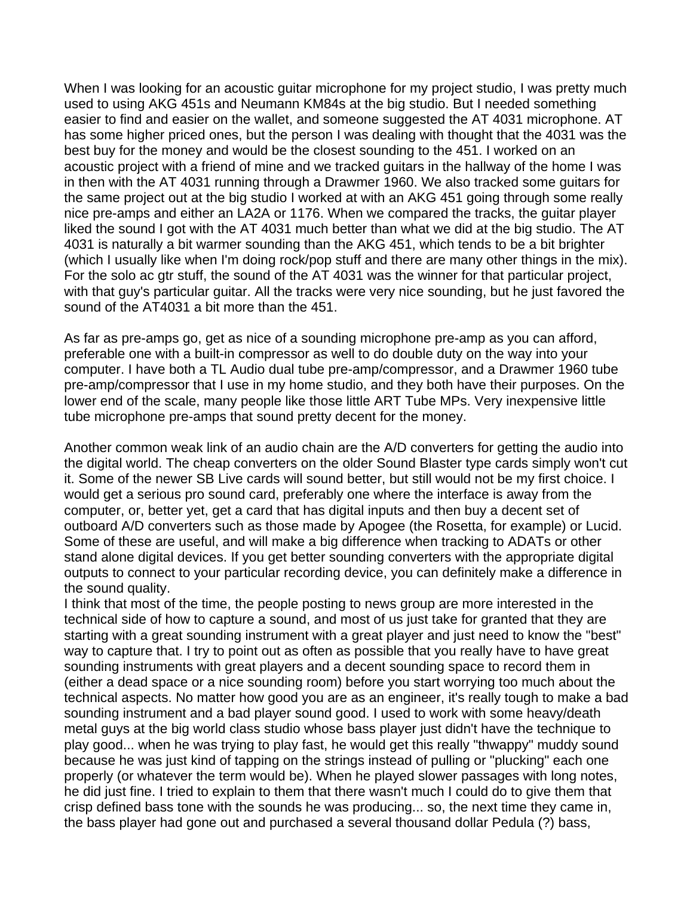When I was looking for an acoustic quitar microphone for my project studio, I was pretty much used to using AKG 451s and Neumann KM84s at the big studio. But I needed something easier to find and easier on the wallet, and someone suggested the AT 4031 microphone. AT has some higher priced ones, but the person I was dealing with thought that the 4031 was the best buy for the money and would be the closest sounding to the 451. I worked on an acoustic project with a friend of mine and we tracked guitars in the hallway of the home I was in then with the AT 4031 running through a Drawmer 1960. We also tracked some guitars for the same project out at the big studio I worked at with an AKG 451 going through some really nice pre-amps and either an LA2A or 1176. When we compared the tracks, the guitar player liked the sound I got with the AT 4031 much better than what we did at the big studio. The AT 4031 is naturally a bit warmer sounding than the AKG 451, which tends to be a bit brighter (which I usually like when I'm doing rock/pop stuff and there are many other things in the mix). For the solo ac gtr stuff, the sound of the AT 4031 was the winner for that particular project, with that guy's particular guitar. All the tracks were very nice sounding, but he just favored the sound of the AT4031 a bit more than the 451.

As far as pre-amps go, get as nice of a sounding microphone pre-amp as you can afford, preferable one with a built-in compressor as well to do double duty on the way into your computer. I have both a TL Audio dual tube pre-amp/compressor, and a Drawmer 1960 tube pre-amp/compressor that I use in my home studio, and they both have their purposes. On the lower end of the scale, many people like those little ART Tube MPs. Very inexpensive little tube microphone pre-amps that sound pretty decent for the money.

Another common weak link of an audio chain are the A/D converters for getting the audio into the digital world. The cheap converters on the older Sound Blaster type cards simply won't cut it. Some of the newer SB Live cards will sound better, but still would not be my first choice. I would get a serious pro sound card, preferably one where the interface is away from the computer, or, better yet, get a card that has digital inputs and then buy a decent set of outboard A/D converters such as those made by Apogee (the Rosetta, for example) or Lucid. Some of these are useful, and will make a big difference when tracking to ADATs or other stand alone digital devices. If you get better sounding converters with the appropriate digital outputs to connect to your particular recording device, you can definitely make a difference in the sound quality.

I think that most of the time, the people posting to news group are more interested in the technical side of how to capture a sound, and most of us just take for granted that they are starting with a great sounding instrument with a great player and just need to know the "best" way to capture that. I try to point out as often as possible that you really have to have great sounding instruments with great players and a decent sounding space to record them in (either a dead space or a nice sounding room) before you start worrying too much about the technical aspects. No matter how good you are as an engineer, it's really tough to make a bad sounding instrument and a bad player sound good. I used to work with some heavy/death metal guys at the big world class studio whose bass player just didn't have the technique to play good... when he was trying to play fast, he would get this really "thwappy" muddy sound because he was just kind of tapping on the strings instead of pulling or "plucking" each one properly (or whatever the term would be). When he played slower passages with long notes, he did just fine. I tried to explain to them that there wasn't much I could do to give them that crisp defined bass tone with the sounds he was producing... so, the next time they came in, the bass player had gone out and purchased a several thousand dollar Pedula (?) bass,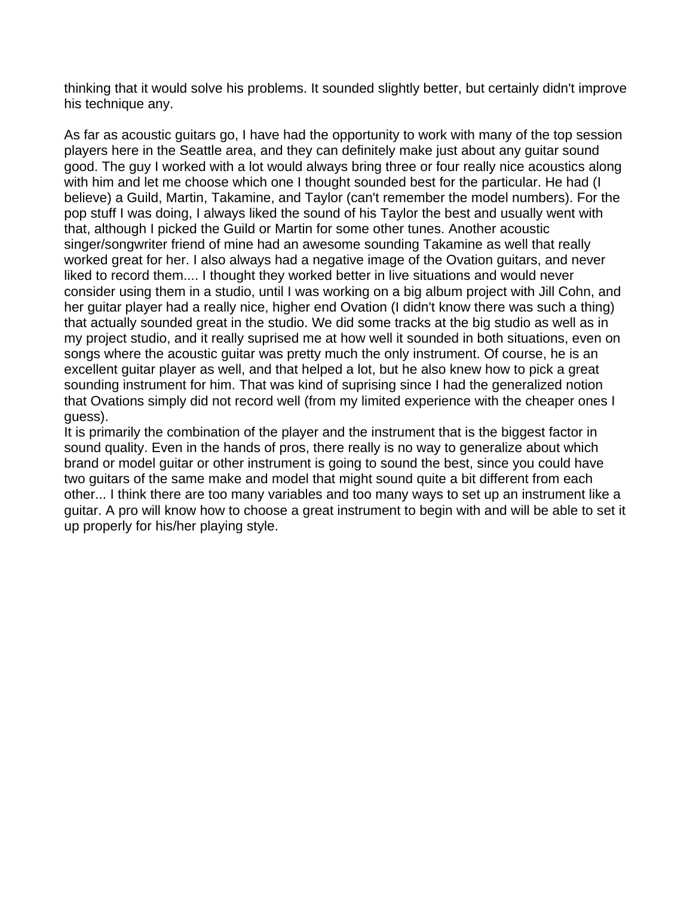thinking that it would solve his problems. It sounded slightly better, but certainly didn't improve his technique any.

As far as acoustic guitars go, I have had the opportunity to work with many of the top session players here in the Seattle area, and they can definitely make just about any guitar sound good. The guy I worked with a lot would always bring three or four really nice acoustics along with him and let me choose which one I thought sounded best for the particular. He had (I believe) a Guild, Martin, Takamine, and Taylor (can't remember the model numbers). For the pop stuff I was doing, I always liked the sound of his Taylor the best and usually went with that, although I picked the Guild or Martin for some other tunes. Another acoustic singer/songwriter friend of mine had an awesome sounding Takamine as well that really worked great for her. I also always had a negative image of the Ovation guitars, and never liked to record them.... I thought they worked better in live situations and would never consider using them in a studio, until I was working on a big album project with Jill Cohn, and her guitar player had a really nice, higher end Ovation (I didn't know there was such a thing) that actually sounded great in the studio. We did some tracks at the big studio as well as in my project studio, and it really suprised me at how well it sounded in both situations, even on songs where the acoustic guitar was pretty much the only instrument. Of course, he is an excellent guitar player as well, and that helped a lot, but he also knew how to pick a great sounding instrument for him. That was kind of suprising since I had the generalized notion that Ovations simply did not record well (from my limited experience with the cheaper ones I guess).

It is primarily the combination of the player and the instrument that is the biggest factor in sound quality. Even in the hands of pros, there really is no way to generalize about which brand or model guitar or other instrument is going to sound the best, since you could have two guitars of the same make and model that might sound quite a bit different from each other... I think there are too many variables and too many ways to set up an instrument like a guitar. A pro will know how to choose a great instrument to begin with and will be able to set it up properly for his/her playing style.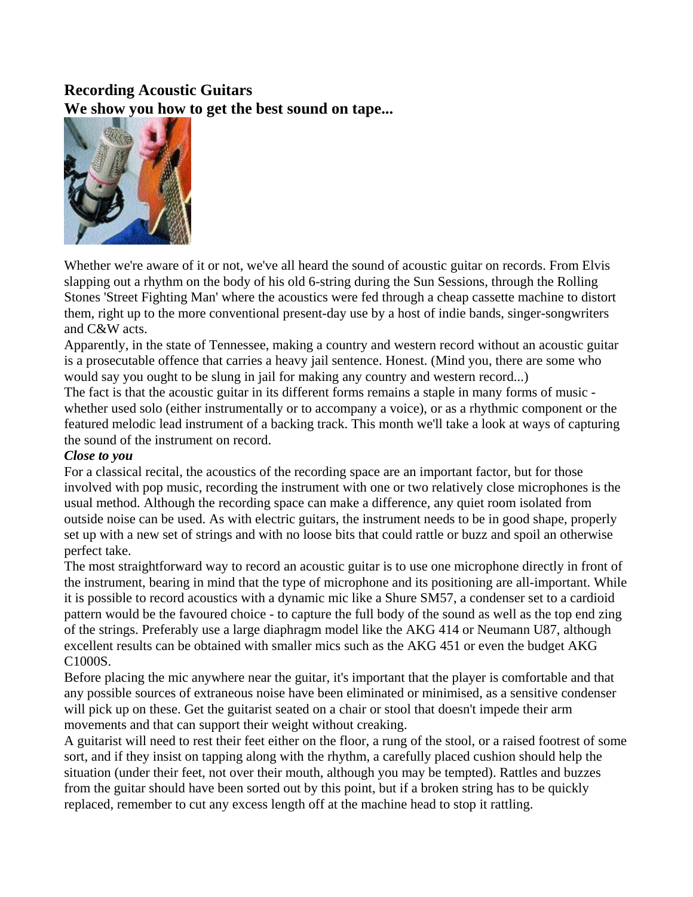# **Recording Acoustic Guitars We show you how to get the best sound on tape...**



Whether we're aware of it or not, we've all heard the sound of acoustic guitar on records. From Elvis slapping out a rhythm on the body of his old 6-string during the Sun Sessions, through the Rolling Stones 'Street Fighting Man' where the acoustics were fed through a cheap cassette machine to distort them, right up to the more conventional present-day use by a host of indie bands, singer-songwriters and C&W acts.

Apparently, in the state of Tennessee, making a country and western record without an acoustic guitar is a prosecutable offence that carries a heavy jail sentence. Honest. (Mind you, there are some who would say you ought to be slung in jail for making any country and western record...)

The fact is that the acoustic guitar in its different forms remains a staple in many forms of music whether used solo (either instrumentally or to accompany a voice), or as a rhythmic component or the featured melodic lead instrument of a backing track. This month we'll take a look at ways of capturing the sound of the instrument on record.

### *Close to you*

For a classical recital, the acoustics of the recording space are an important factor, but for those involved with pop music, recording the instrument with one or two relatively close microphones is the usual method. Although the recording space can make a difference, any quiet room isolated from outside noise can be used. As with electric guitars, the instrument needs to be in good shape, properly set up with a new set of strings and with no loose bits that could rattle or buzz and spoil an otherwise perfect take.

The most straightforward way to record an acoustic guitar is to use one microphone directly in front of the instrument, bearing in mind that the type of microphone and its positioning are all-important. While it is possible to record acoustics with a dynamic mic like a Shure SM57, a condenser set to a cardioid pattern would be the favoured choice - to capture the full body of the sound as well as the top end zing of the strings. Preferably use a large diaphragm model like the AKG 414 or Neumann U87, although excellent results can be obtained with smaller mics such as the AKG 451 or even the budget AKG C1000S.

Before placing the mic anywhere near the guitar, it's important that the player is comfortable and that any possible sources of extraneous noise have been eliminated or minimised, as a sensitive condenser will pick up on these. Get the guitarist seated on a chair or stool that doesn't impede their arm movements and that can support their weight without creaking.

A guitarist will need to rest their feet either on the floor, a rung of the stool, or a raised footrest of some sort, and if they insist on tapping along with the rhythm, a carefully placed cushion should help the situation (under their feet, not over their mouth, although you may be tempted). Rattles and buzzes from the guitar should have been sorted out by this point, but if a broken string has to be quickly replaced, remember to cut any excess length off at the machine head to stop it rattling.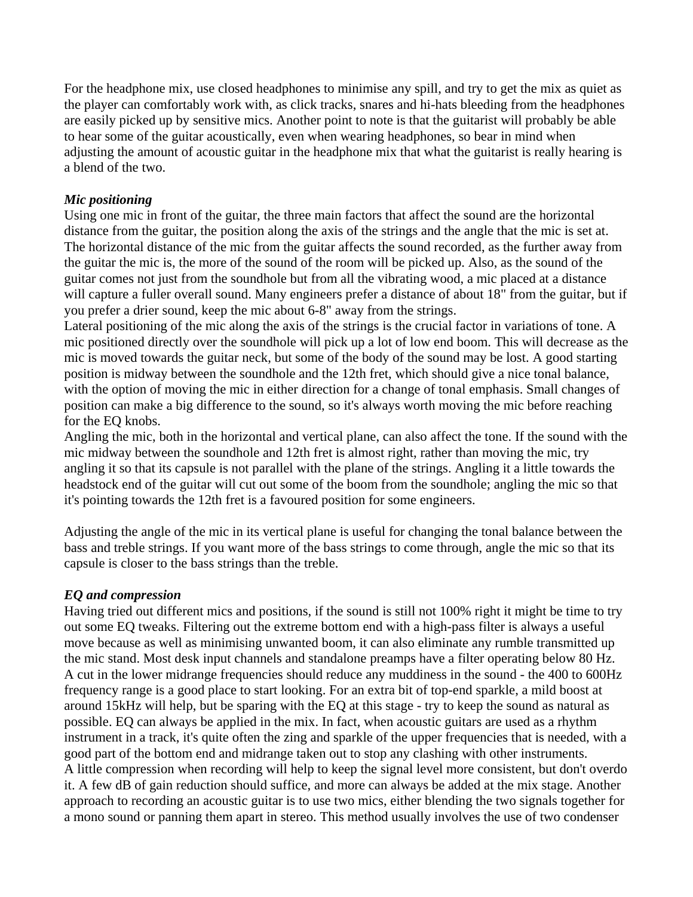For the headphone mix, use closed headphones to minimise any spill, and try to get the mix as quiet as the player can comfortably work with, as click tracks, snares and hi-hats bleeding from the headphones are easily picked up by sensitive mics. Another point to note is that the guitarist will probably be able to hear some of the guitar acoustically, even when wearing headphones, so bear in mind when adjusting the amount of acoustic guitar in the headphone mix that what the guitarist is really hearing is a blend of the two.

### *Mic positioning*

Using one mic in front of the guitar, the three main factors that affect the sound are the horizontal distance from the guitar, the position along the axis of the strings and the angle that the mic is set at. The horizontal distance of the mic from the guitar affects the sound recorded, as the further away from the guitar the mic is, the more of the sound of the room will be picked up. Also, as the sound of the guitar comes not just from the soundhole but from all the vibrating wood, a mic placed at a distance will capture a fuller overall sound. Many engineers prefer a distance of about 18" from the guitar, but if you prefer a drier sound, keep the mic about 6-8" away from the strings.

Lateral positioning of the mic along the axis of the strings is the crucial factor in variations of tone. A mic positioned directly over the soundhole will pick up a lot of low end boom. This will decrease as the mic is moved towards the guitar neck, but some of the body of the sound may be lost. A good starting position is midway between the soundhole and the 12th fret, which should give a nice tonal balance, with the option of moving the mic in either direction for a change of tonal emphasis. Small changes of position can make a big difference to the sound, so it's always worth moving the mic before reaching for the EQ knobs.

Angling the mic, both in the horizontal and vertical plane, can also affect the tone. If the sound with the mic midway between the soundhole and 12th fret is almost right, rather than moving the mic, try angling it so that its capsule is not parallel with the plane of the strings. Angling it a little towards the headstock end of the guitar will cut out some of the boom from the soundhole; angling the mic so that it's pointing towards the 12th fret is a favoured position for some engineers.

Adjusting the angle of the mic in its vertical plane is useful for changing the tonal balance between the bass and treble strings. If you want more of the bass strings to come through, angle the mic so that its capsule is closer to the bass strings than the treble.

#### *EQ and compression*

Having tried out different mics and positions, if the sound is still not 100% right it might be time to try out some EQ tweaks. Filtering out the extreme bottom end with a high-pass filter is always a useful move because as well as minimising unwanted boom, it can also eliminate any rumble transmitted up the mic stand. Most desk input channels and standalone preamps have a filter operating below 80 Hz. A cut in the lower midrange frequencies should reduce any muddiness in the sound - the 400 to 600Hz frequency range is a good place to start looking. For an extra bit of top-end sparkle, a mild boost at around 15kHz will help, but be sparing with the EQ at this stage - try to keep the sound as natural as possible. EQ can always be applied in the mix. In fact, when acoustic guitars are used as a rhythm instrument in a track, it's quite often the zing and sparkle of the upper frequencies that is needed, with a good part of the bottom end and midrange taken out to stop any clashing with other instruments. A little compression when recording will help to keep the signal level more consistent, but don't overdo it. A few dB of gain reduction should suffice, and more can always be added at the mix stage. Another approach to recording an acoustic guitar is to use two mics, either blending the two signals together for a mono sound or panning them apart in stereo. This method usually involves the use of two condenser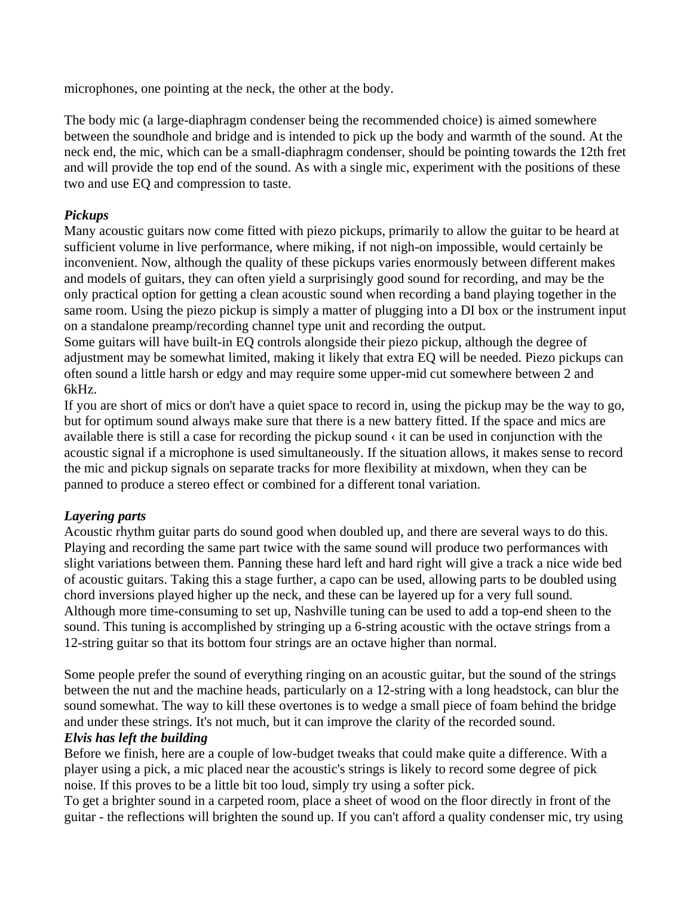microphones, one pointing at the neck, the other at the body.

The body mic (a large-diaphragm condenser being the recommended choice) is aimed somewhere between the soundhole and bridge and is intended to pick up the body and warmth of the sound. At the neck end, the mic, which can be a small-diaphragm condenser, should be pointing towards the 12th fret and will provide the top end of the sound. As with a single mic, experiment with the positions of these two and use EQ and compression to taste.

## *Pickups*

Many acoustic guitars now come fitted with piezo pickups, primarily to allow the guitar to be heard at sufficient volume in live performance, where miking, if not nigh-on impossible, would certainly be inconvenient. Now, although the quality of these pickups varies enormously between different makes and models of guitars, they can often yield a surprisingly good sound for recording, and may be the only practical option for getting a clean acoustic sound when recording a band playing together in the same room. Using the piezo pickup is simply a matter of plugging into a DI box or the instrument input on a standalone preamp/recording channel type unit and recording the output.

Some guitars will have built-in EQ controls alongside their piezo pickup, although the degree of adjustment may be somewhat limited, making it likely that extra EQ will be needed. Piezo pickups can often sound a little harsh or edgy and may require some upper-mid cut somewhere between 2 and 6kHz.

If you are short of mics or don't have a quiet space to record in, using the pickup may be the way to go, but for optimum sound always make sure that there is a new battery fitted. If the space and mics are available there is still a case for recording the pickup sound  $\cdot$  it can be used in conjunction with the acoustic signal if a microphone is used simultaneously. If the situation allows, it makes sense to record the mic and pickup signals on separate tracks for more flexibility at mixdown, when they can be panned to produce a stereo effect or combined for a different tonal variation.

## *Layering parts*

Acoustic rhythm guitar parts do sound good when doubled up, and there are several ways to do this. Playing and recording the same part twice with the same sound will produce two performances with slight variations between them. Panning these hard left and hard right will give a track a nice wide bed of acoustic guitars. Taking this a stage further, a capo can be used, allowing parts to be doubled using chord inversions played higher up the neck, and these can be layered up for a very full sound. Although more time-consuming to set up, Nashville tuning can be used to add a top-end sheen to the sound. This tuning is accomplished by stringing up a 6-string acoustic with the octave strings from a 12-string guitar so that its bottom four strings are an octave higher than normal.

Some people prefer the sound of everything ringing on an acoustic guitar, but the sound of the strings between the nut and the machine heads, particularly on a 12-string with a long headstock, can blur the sound somewhat. The way to kill these overtones is to wedge a small piece of foam behind the bridge and under these strings. It's not much, but it can improve the clarity of the recorded sound.

### *Elvis has left the building*

Before we finish, here are a couple of low-budget tweaks that could make quite a difference. With a player using a pick, a mic placed near the acoustic's strings is likely to record some degree of pick noise. If this proves to be a little bit too loud, simply try using a softer pick.

To get a brighter sound in a carpeted room, place a sheet of wood on the floor directly in front of the guitar - the reflections will brighten the sound up. If you can't afford a quality condenser mic, try using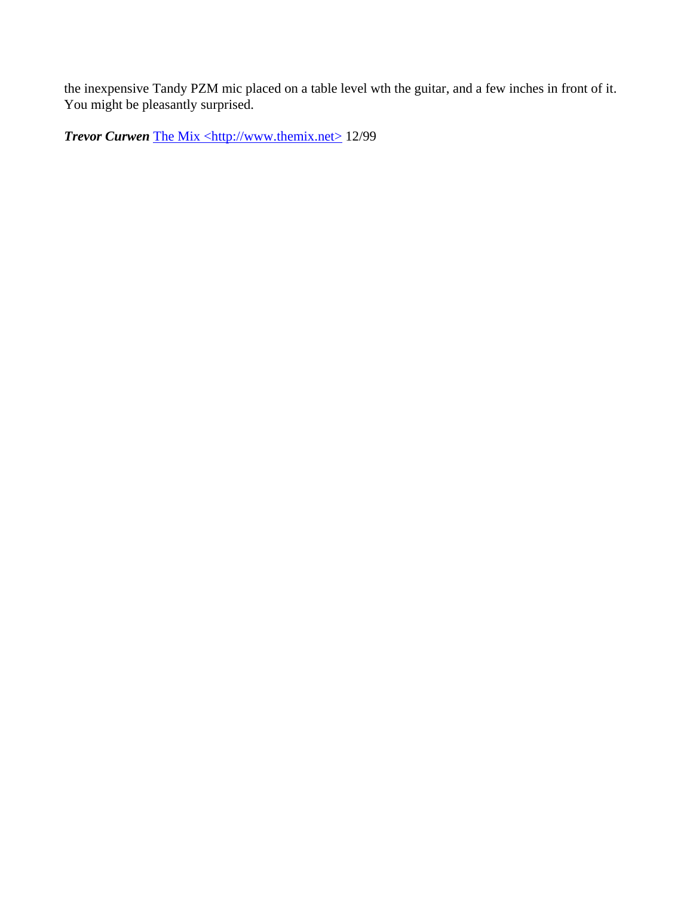the inexpensive Tandy PZM mic placed on a table level wth the guitar, and a few inches in front of it. You might be pleasantly surprised.

**Trevor Curwen** The Mix <http://www.themix.net> 12/99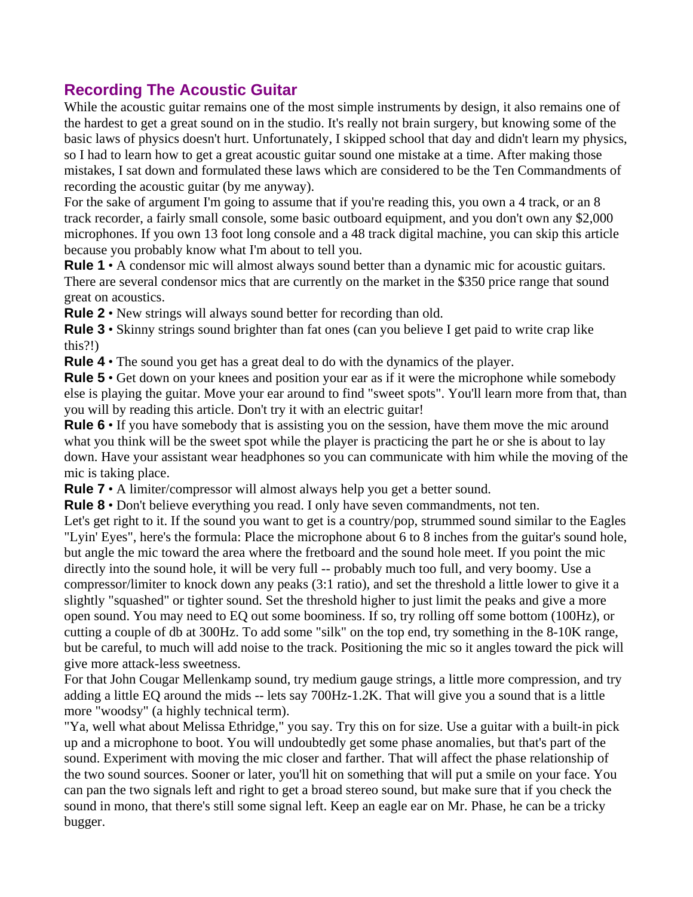# **Recording The Acoustic Guitar**

While the acoustic guitar remains one of the most simple instruments by design, it also remains one of the hardest to get a great sound on in the studio. It's really not brain surgery, but knowing some of the basic laws of physics doesn't hurt. Unfortunately, I skipped school that day and didn't learn my physics, so I had to learn how to get a great acoustic guitar sound one mistake at a time. After making those mistakes, I sat down and formulated these laws which are considered to be the Ten Commandments of recording the acoustic guitar (by me anyway).

For the sake of argument I'm going to assume that if you're reading this, you own a 4 track, or an 8 track recorder, a fairly small console, some basic outboard equipment, and you don't own any \$2,000 microphones. If you own 13 foot long console and a 48 track digital machine, you can skip this article because you probably know what I'm about to tell you.

**Rule 1** • A condensor mic will almost always sound better than a dynamic mic for acoustic guitars. There are several condensor mics that are currently on the market in the \$350 price range that sound great on acoustics.

**Rule 2** • New strings will always sound better for recording than old.

**Rule 3** • Skinny strings sound brighter than fat ones (can you believe I get paid to write crap like this?!)

**Rule 4** • The sound you get has a great deal to do with the dynamics of the player.

**Rule 5** • Get down on your knees and position your ear as if it were the microphone while somebody else is playing the guitar. Move your ear around to find "sweet spots". You'll learn more from that, than you will by reading this article. Don't try it with an electric guitar!

**Rule 6** • If you have somebody that is assisting you on the session, have them move the mic around what you think will be the sweet spot while the player is practicing the part he or she is about to lay down. Have your assistant wear headphones so you can communicate with him while the moving of the mic is taking place.

**Rule 7** • A limiter/compressor will almost always help you get a better sound.

**Rule 8** • Don't believe everything you read. I only have seven commandments, not ten.

Let's get right to it. If the sound you want to get is a country/pop, strummed sound similar to the Eagles "Lyin' Eyes", here's the formula: Place the microphone about 6 to 8 inches from the guitar's sound hole, but angle the mic toward the area where the fretboard and the sound hole meet. If you point the mic directly into the sound hole, it will be very full -- probably much too full, and very boomy. Use a compressor/limiter to knock down any peaks (3:1 ratio), and set the threshold a little lower to give it a slightly "squashed" or tighter sound. Set the threshold higher to just limit the peaks and give a more open sound. You may need to EQ out some boominess. If so, try rolling off some bottom (100Hz), or cutting a couple of db at 300Hz. To add some "silk" on the top end, try something in the 8-10K range, but be careful, to much will add noise to the track. Positioning the mic so it angles toward the pick will give more attack-less sweetness.

For that John Cougar Mellenkamp sound, try medium gauge strings, a little more compression, and try adding a little EQ around the mids -- lets say 700Hz-1.2K. That will give you a sound that is a little more "woodsy" (a highly technical term).

"Ya, well what about Melissa Ethridge," you say. Try this on for size. Use a guitar with a built-in pick up and a microphone to boot. You will undoubtedly get some phase anomalies, but that's part of the sound. Experiment with moving the mic closer and farther. That will affect the phase relationship of the two sound sources. Sooner or later, you'll hit on something that will put a smile on your face. You can pan the two signals left and right to get a broad stereo sound, but make sure that if you check the sound in mono, that there's still some signal left. Keep an eagle ear on Mr. Phase, he can be a tricky bugger.